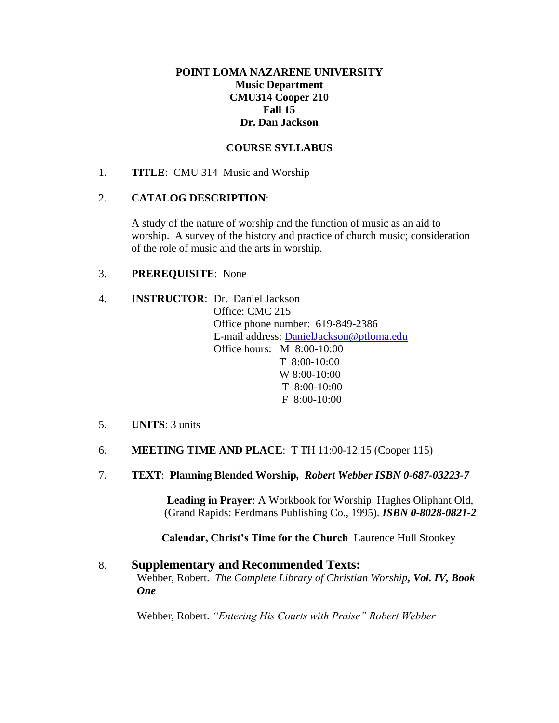# **POINT LOMA NAZARENE UNIVERSITY Music Department CMU314 Cooper 210 Fall 15 Dr. Dan Jackson**

# **COURSE SYLLABUS**

1. **TITLE**: CMU 314 Music and Worship

## 2. **CATALOG DESCRIPTION**:

A study of the nature of worship and the function of music as an aid to worship. A survey of the history and practice of church music; consideration of the role of music and the arts in worship.

## 3. **PREREQUISITE**: None

- 4. **INSTRUCTOR**: Dr. Daniel Jackson Office: CMC 215 Office phone number: 619-849-2386 E-mail address: [DanielJackson@ptloma.edu](mailto:DanielJackson@ptloma.edu) Office hours: M 8:00-10:00 T 8:00-10:00 W 8:00-10:00 T 8:00-10:00 F 8:00-10:00
- 5. **UNITS**: 3 units
- 6. **MEETING TIME AND PLACE**: T TH 11:00-12:15 (Cooper 115)
- 7. **TEXT**: **Planning Blended Worship***, Robert Webber ISBN 0-687-03223-7*

**Leading in Prayer**: A Workbook for Worship Hughes Oliphant Old, (Grand Rapids: Eerdmans Publishing Co., 1995). *ISBN 0-8028-0821-2*

**Calendar, Christ's Time for the Church**Laurence Hull Stookey

#### 8. **Supplementary and Recommended Texts:** Webber, Robert. *The Complete Library of Christian Worship, Vol. IV, Book One*

Webber, Robert. *"Entering His Courts with Praise" Robert Webber*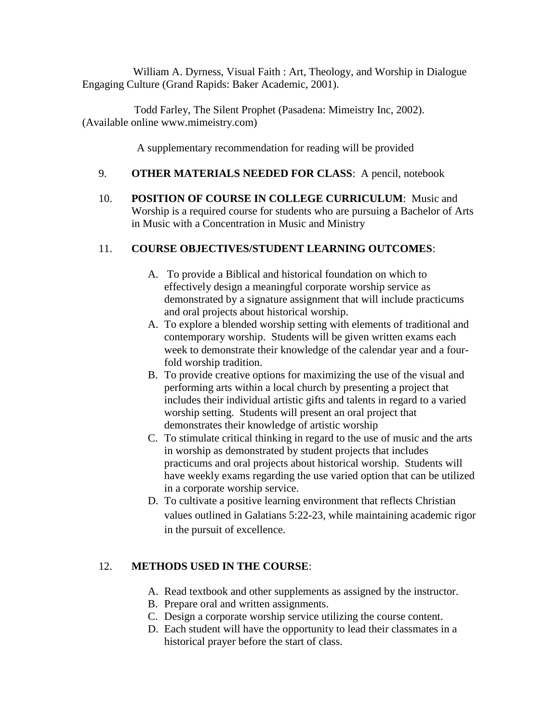William A. Dyrness, Visual Faith : Art, Theology, and Worship in Dialogue Engaging Culture (Grand Rapids: Baker Academic, 2001).

 Todd Farley, The Silent Prophet (Pasadena: Mimeistry Inc, 2002). (Available online www.mimeistry.com)

A supplementary recommendation for reading will be provided

## 9. **OTHER MATERIALS NEEDED FOR CLASS**: A pencil, notebook

10. **POSITION OF COURSE IN COLLEGE CURRICULUM**: Music and Worship is a required course for students who are pursuing a Bachelor of Arts in Music with a Concentration in Music and Ministry

# 11. **COURSE OBJECTIVES/STUDENT LEARNING OUTCOMES**:

- A. To provide a Biblical and historical foundation on which to effectively design a meaningful corporate worship service as demonstrated by a signature assignment that will include practicums and oral projects about historical worship.
- A. To explore a blended worship setting with elements of traditional and contemporary worship. Students will be given written exams each week to demonstrate their knowledge of the calendar year and a fourfold worship tradition.
- B. To provide creative options for maximizing the use of the visual and performing arts within a local church by presenting a project that includes their individual artistic gifts and talents in regard to a varied worship setting. Students will present an oral project that demonstrates their knowledge of artistic worship
- C. To stimulate critical thinking in regard to the use of music and the arts in worship as demonstrated by student projects that includes practicums and oral projects about historical worship. Students will have weekly exams regarding the use varied option that can be utilized in a corporate worship service.
- D. To cultivate a positive learning environment that reflects Christian values outlined in Galatians 5:22-23, while maintaining academic rigor in the pursuit of excellence.

# 12. **METHODS USED IN THE COURSE**:

- A. Read textbook and other supplements as assigned by the instructor.
- B. Prepare oral and written assignments.
- C. Design a corporate worship service utilizing the course content.
- D. Each student will have the opportunity to lead their classmates in a historical prayer before the start of class.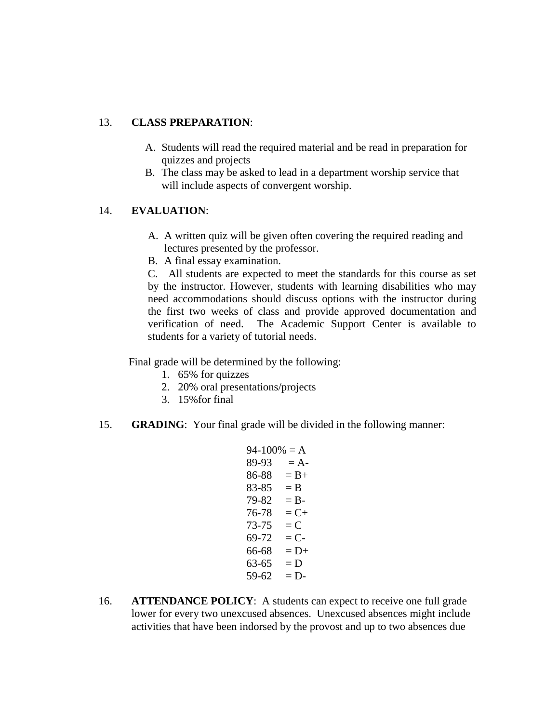## 13. **CLASS PREPARATION**:

- A. Students will read the required material and be read in preparation for quizzes and projects
- B. The class may be asked to lead in a department worship service that will include aspects of convergent worship.

# 14. **EVALUATION**:

- A. A written quiz will be given often covering the required reading and lectures presented by the professor.
- B. A final essay examination.

C. All students are expected to meet the standards for this course as set by the instructor. However, students with learning disabilities who may need accommodations should discuss options with the instructor during the first two weeks of class and provide approved documentation and verification of need. The Academic Support Center is available to students for a variety of tutorial needs.

Final grade will be determined by the following:

- 1. 65% for quizzes
- 2. 20% oral presentations/projects
- 3. 15%for final
- 15. **GRADING**: Your final grade will be divided in the following manner:

```
94-100% = A89-93 = A86-88 = B+83-85 = B79-82 = B-76-78 = C+73-75 = C69-72 = C66-68 = D+63-65 = D59-62 = D
```
16. **ATTENDANCE POLICY**: A students can expect to receive one full grade lower for every two unexcused absences. Unexcused absences might include activities that have been indorsed by the provost and up to two absences due